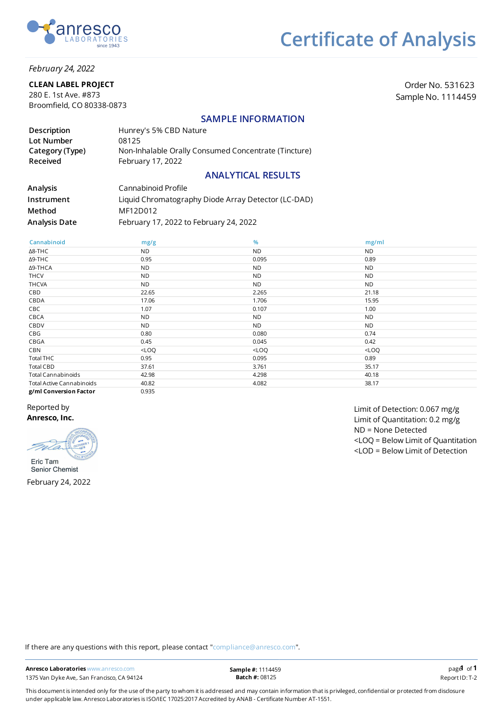

#### *February 24, 2022*

#### CLEAN LABEL PROJECT

280 E. 1st Ave. #873 Broomfield, CO 80338-0873

Order No. 531623 Sample No. 1114459

### SAMPLE INFORMATION

| Description                        | Hunrey's 5% CBD Nature                                                    |
|------------------------------------|---------------------------------------------------------------------------|
| Lot Number                         | 08125                                                                     |
| Category (Type)<br><b>Received</b> | Non-Inhalable Orally Consumed Concentrate (Tincture)<br>February 17, 2022 |

### ANALYTICAL RESULTS

| <b>Analysis</b>      | Cannabinoid Profile                                 |
|----------------------|-----------------------------------------------------|
| Instrument           | Liquid Chromatography Diode Array Detector (LC-DAD) |
| Method               | MF12D012                                            |
| <b>Analysis Date</b> | February 17, 2022 to February 24, 2022              |

| Cannabinoid                      | mg/g      | %         | mg/ml     |
|----------------------------------|-----------|-----------|-----------|
| $\Delta$ 8-THC                   | <b>ND</b> | <b>ND</b> | <b>ND</b> |
| Δ9-THC                           | 0.95      | 0.095     | 0.89      |
| Δ9-THCA                          | <b>ND</b> | <b>ND</b> | <b>ND</b> |
| <b>THCV</b>                      | <b>ND</b> | <b>ND</b> | ND.       |
| <b>THCVA</b>                     | <b>ND</b> | <b>ND</b> | ND.       |
| CBD                              | 22.65     | 2.265     | 21.18     |
| CBDA                             | 17.06     | 1.706     | 15.95     |
| CBC                              | 1.07      | 0.107     | 1.00      |
| <b>CBCA</b>                      | <b>ND</b> | <b>ND</b> | ND.       |
| CBDV                             | <b>ND</b> | <b>ND</b> | ND.       |
| CBG                              | 0.80      | 0.080     | 0.74      |
| CBGA                             | 0.45      | 0.045     | 0.42      |
| CBN                              | $<$ LOQ   | $<$ LOQ   | $<$ LOQ   |
| Total THC                        | 0.95      | 0.095     | 0.89      |
| Total CBD                        | 37.61     | 3.761     | 35.17     |
| Total Cannabinoids               | 42.98     | 4.298     | 40.18     |
| <b>Total Active Cannabinoids</b> | 40.82     | 4.082     | 38.17     |
| g/ml Conversion Factor           | 0.935     |           |           |

#### Reported by Anresco, Inc.



Senior Chemist February 24, 2022 Limit of Detection: 0.067 mg/g Limit of Quantitation: 0.2 mg/g ND = None Detected <LOQ = Below Limit of Quantitation <LOD = Below Limit of Detection

If there are any questions with this report, please contact "compliance@anresco.com".

Anresco Laboratories www.anresco.com 1375 Van Dyke Ave,. San Francisco, CA 94124 **Report ID: T-2** Report ID: T-2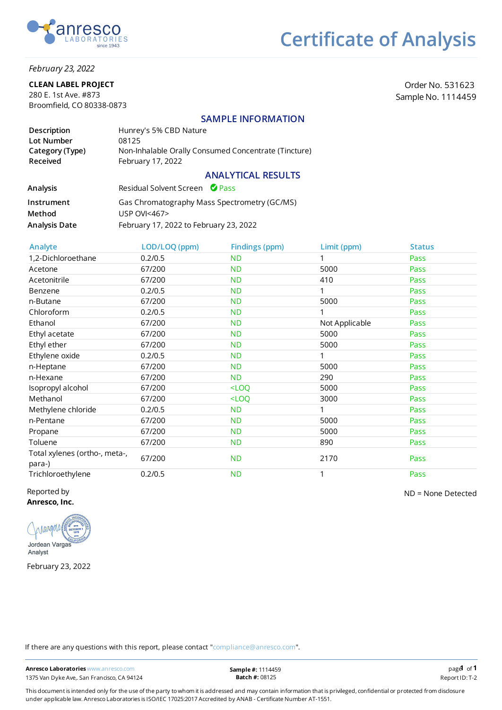

#### *February 23, 2022*

#### CLEAN LABEL PROJECT

280 E. 1st Ave. #873 Broomfield, CO 80338-0873

Order No. 531623 Sample No. 1114459

### SAMPLE INFORMATION

| Description                 | Hunrey's 5% CBD Nature                                                    |
|-----------------------------|---------------------------------------------------------------------------|
| Lot Number                  | 08125                                                                     |
| Category (Type)<br>Received | Non-Inhalable Orally Consumed Concentrate (Tincture)<br>February 17, 2022 |
|                             | <b>ANALYTICAL RESULTS</b>                                                 |

| Analysis      | Residual Solvent Screen Pass                 |
|---------------|----------------------------------------------|
| Instrument    | Gas Chromatography Mass Spectrometry (GC/MS) |
| Method        | <b>USP OVI&lt;467&gt;</b>                    |
| Analysis Date | February 17, 2022 to February 23, 2022       |

| Analyte                                 | LOD/LOQ (ppm) | <b>Findings (ppm)</b> | Limit (ppm)    | <b>Status</b> |
|-----------------------------------------|---------------|-----------------------|----------------|---------------|
| 1,2-Dichloroethane                      | 0.2/0.5       | <b>ND</b>             |                | Pass          |
| Acetone                                 | 67/200        | <b>ND</b>             | 5000           | Pass          |
| Acetonitrile                            | 67/200        | <b>ND</b>             | 410            | Pass          |
| Benzene                                 | 0.2/0.5       | <b>ND</b>             |                | Pass          |
| n-Butane                                | 67/200        | <b>ND</b>             | 5000           | Pass          |
| Chloroform                              | 0.2/0.5       | <b>ND</b>             |                | Pass          |
| Ethanol                                 | 67/200        | <b>ND</b>             | Not Applicable | Pass          |
| Ethyl acetate                           | 67/200        | <b>ND</b>             | 5000           | Pass          |
| Ethyl ether                             | 67/200        | <b>ND</b>             | 5000           | Pass          |
| Ethylene oxide                          | 0.2/0.5       | <b>ND</b>             |                | Pass          |
| n-Heptane                               | 67/200        | <b>ND</b>             | 5000           | Pass          |
| n-Hexane                                | 67/200        | <b>ND</b>             | 290            | Pass          |
| Isopropyl alcohol                       | 67/200        | $<$ LOQ               | 5000           | Pass          |
| Methanol                                | 67/200        | $<$ LOQ               | 3000           | Pass          |
| Methylene chloride                      | 0.2/0.5       | <b>ND</b>             |                | Pass          |
| n-Pentane                               | 67/200        | <b>ND</b>             | 5000           | Pass          |
| Propane                                 | 67/200        | <b>ND</b>             | 5000           | Pass          |
| Toluene                                 | 67/200        | <b>ND</b>             | 890            | Pass          |
| Total xylenes (ortho-, meta-,<br>para-) | 67/200        | <b>ND</b>             | 2170           | Pass          |
| Trichloroethylene                       | 0.2/0.5       | <b>ND</b>             |                | Pass          |

Reported by Anresco, Inc.



February 23, 2022

ND = None Detected

If there are any questions with this report, please contact "compliance@anresco.com".

Anresco Laboratories www.anresco.com 1375 Van Dyke Ave,. San Francisco, CA 94124 Report ID: T-2

 $pagel$  of  $1$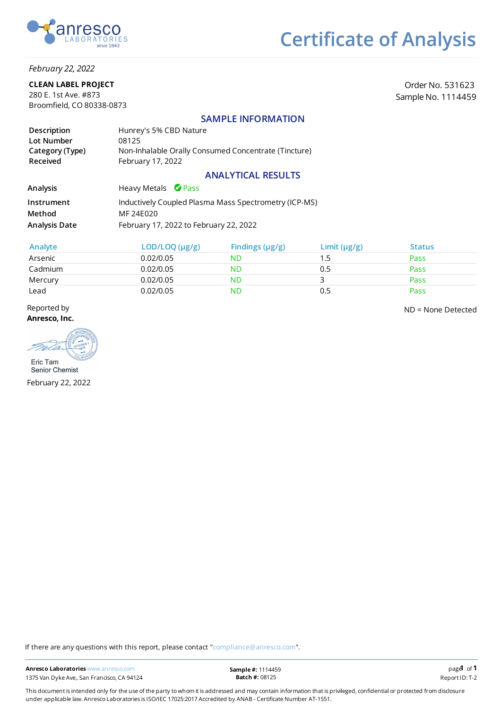

#### *February 22, 2022*

#### CLEAN LABEL PROJECT

280 E. 1st Ave. #873 Broomfield, CO 80338-0873

Order No. 531623 Sample No. 1114459

### SAMPLE INFORMATION

| Description                 | Hunrey's 5% CBD Nature                                                    |
|-----------------------------|---------------------------------------------------------------------------|
| Lot Number                  | 08125                                                                     |
| Category (Type)<br>Received | Non-Inhalable Orally Consumed Concentrate (Tincture)<br>February 17, 2022 |

## ANALYTICAL RESULTS

| <b>Analysis</b>      | Heavy Metals Pass                                     |
|----------------------|-------------------------------------------------------|
| Instrument           | Inductively Coupled Plasma Mass Spectrometry (ICP-MS) |
| Method               | MF 24E020                                             |
| <b>Analysis Date</b> | February 17, 2022 to February 22, 2022                |

| Analyte | LOD/LOQ (µg/g) | Findings $(\mu g/g)$ | Limit $(\mu g/g)$ | <b>Status</b> |
|---------|----------------|----------------------|-------------------|---------------|
| Arsenic | 0.02/0.05      | ND                   | 1.5               | Pass          |
| Cadmium | 0.02/0.05      | ND                   | 0.5               | Pass          |
| Mercury | 0.02/0.05      | <b>ND</b>            |                   | Pass          |
| Lead    | 0.02/0.05      | ND                   | 0.5               | Pass          |

Reported by Anresco, Inc.

ND = None Detected

Eric Tam

Senior Chemist February 22, 2022

If there are any questions with this report, please contact "compliance@anresco.com".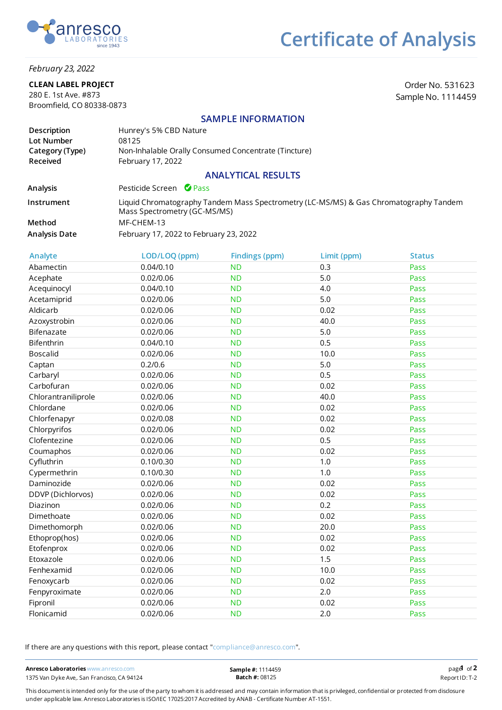

#### *February 23, 2022*

#### CLEAN LABEL PROJECT

280 E. 1st Ave. #873 Broomfield, CO 80338-0873

Order No. 531623 Sample No. 1114459

### SAMPLE INFORMATION

| Description                        | Hunrey's 5% CBD Nature                                                    |
|------------------------------------|---------------------------------------------------------------------------|
| Lot Number                         | 08125                                                                     |
| Category (Type)<br><b>Received</b> | Non-Inhalable Orally Consumed Concentrate (Tincture)<br>February 17, 2022 |

### ANALYTICAL RESULTS

Analysis Pesticide Screen *O* Pass

Instrument Method Analysis Date Liquid Chromatography Tandem Mass Spectrometry (LC-MS/MS) & Gas Chromatography Tandem Mass Spectrometry (GC-MS/MS) MF-CHEM-13 February 17, 2022 to February 23, 2022

| Analyte             | LOD/LOQ (ppm) | <b>Findings (ppm)</b> | Limit (ppm) | <b>Status</b> |
|---------------------|---------------|-----------------------|-------------|---------------|
| Abamectin           | 0.04/0.10     | <b>ND</b>             | 0.3         | Pass          |
| Acephate            | 0.02/0.06     | <b>ND</b>             | 5.0         | Pass          |
| Acequinocyl         | 0.04/0.10     | <b>ND</b>             | 4.0         | Pass          |
| Acetamiprid         | 0.02/0.06     | <b>ND</b>             | 5.0         | Pass          |
| Aldicarb            | 0.02/0.06     | <b>ND</b>             | 0.02        | Pass          |
| Azoxystrobin        | 0.02/0.06     | <b>ND</b>             | 40.0        | Pass          |
| Bifenazate          | 0.02/0.06     | <b>ND</b>             | 5.0         | Pass          |
| Bifenthrin          | 0.04/0.10     | <b>ND</b>             | 0.5         | Pass          |
| <b>Boscalid</b>     | 0.02/0.06     | <b>ND</b>             | 10.0        | Pass          |
| Captan              | 0.2/0.6       | <b>ND</b>             | 5.0         | Pass          |
| Carbaryl            | 0.02/0.06     | <b>ND</b>             | 0.5         | Pass          |
| Carbofuran          | 0.02/0.06     | <b>ND</b>             | 0.02        | Pass          |
| Chlorantraniliprole | 0.02/0.06     | <b>ND</b>             | 40.0        | Pass          |
| Chlordane           | 0.02/0.06     | <b>ND</b>             | 0.02        | Pass          |
| Chlorfenapyr        | 0.02/0.08     | <b>ND</b>             | 0.02        | Pass          |
| Chlorpyrifos        | 0.02/0.06     | <b>ND</b>             | 0.02        | Pass          |
| Clofentezine        | 0.02/0.06     | <b>ND</b>             | 0.5         | Pass          |
| Coumaphos           | 0.02/0.06     | <b>ND</b>             | 0.02        | Pass          |
| Cyfluthrin          | 0.10/0.30     | <b>ND</b>             | 1.0         | Pass          |
| Cypermethrin        | 0.10/0.30     | <b>ND</b>             | 1.0         | Pass          |
| Daminozide          | 0.02/0.06     | <b>ND</b>             | 0.02        | Pass          |
| DDVP (Dichlorvos)   | 0.02/0.06     | <b>ND</b>             | 0.02        | Pass          |
| Diazinon            | 0.02/0.06     | <b>ND</b>             | 0.2         | Pass          |
| Dimethoate          | 0.02/0.06     | <b>ND</b>             | 0.02        | Pass          |
| Dimethomorph        | 0.02/0.06     | <b>ND</b>             | 20.0        | Pass          |
| Ethoprop(hos)       | 0.02/0.06     | <b>ND</b>             | 0.02        | Pass          |
| Etofenprox          | 0.02/0.06     | <b>ND</b>             | 0.02        | Pass          |
| Etoxazole           | 0.02/0.06     | <b>ND</b>             | 1.5         | Pass          |
| Fenhexamid          | 0.02/0.06     | <b>ND</b>             | 10.0        | Pass          |
| Fenoxycarb          | 0.02/0.06     | <b>ND</b>             | 0.02        | Pass          |
| Fenpyroximate       | 0.02/0.06     | <b>ND</b>             | 2.0         | Pass          |
| Fipronil            | 0.02/0.06     | <b>ND</b>             | 0.02        | Pass          |
| Flonicamid          | 0.02/0.06     | <b>ND</b>             | 2.0         | Pass          |

If there are any questions with this report, please contact "compliance@anresco.com".